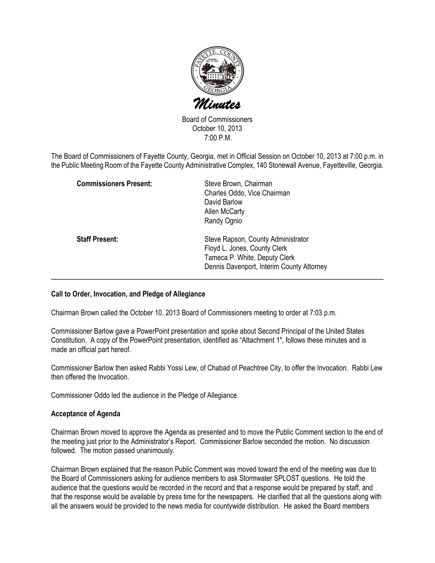

Board of Commissioners October 10, 2013 7:00 P.M.

The Board of Commissioners of Fayette County, Georgia, met in Official Session on October 10, 2013 at 7:00 p.m. in the Public Meeting Room of the Fayette County Administrative Complex, 140 Stonewall Avenue, Fayetteville, Georgia.

| <b>Commissioners Present:</b> | Steve Brown, Chairman<br>Charles Oddo, Vice Chairman<br>David Barlow<br>Allen McCarty<br>Randy Ognio                                             |
|-------------------------------|--------------------------------------------------------------------------------------------------------------------------------------------------|
| <b>Staff Present:</b>         | Steve Rapson, County Administrator<br>Floyd L. Jones, County Clerk<br>Tameca P. White, Deputy Clerk<br>Dennis Davenport, Interim County Attorney |

## Call to Order, Invocation, and Pledge of Allegiance

Chairman Brown called the October 10, 2013 Board of Commissioners meeting to order at 7:03 p.m.

Commissioner Barlow gave a PowerPoint presentation and spoke about Second Principal of the United States Constitution. A copy of the PowerPoint presentation, identified as "Attachment 1", follows these minutes and is made an official part hereof.

Commissioner Barlow then asked Rabbi Yossi Lew, of Chabad of Peachtree City, to offer the Invocation. Rabbi Lew then offered the Invocation.

Commissioner Oddo led the audience in the Pledge of Allegiance.

#### Acceptance of Agenda

Chairman Brown moved to approve the Agenda as presented and to move the Public Comment section to the end of the meeting just prior to the Administrator's Report. Commissioner Barlow seconded the motion. No discussion followed. The motion passed unanimously.

Chairman Brown explained that the reason Public Comment was moved toward the end of the meeting was due to the Board of Commissioners asking for audience members to ask Stormwater SPLOST questions. He told the audience that the questions would be recorded in the record and that a response would be prepared by staff, and that the response would be available by press time for the newspapers. He clarified that all the questions along with all the answers would be provided to the news media for countywide distribution. He asked the Board members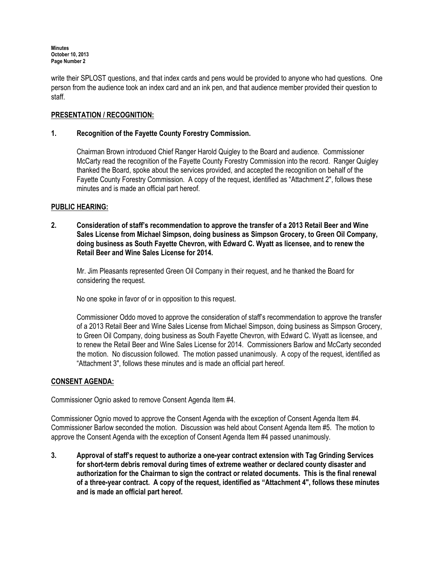write their SPLOST questions, and that index cards and pens would be provided to anyone who had questions. One person from the audience took an index card and an ink pen, and that audience member provided their question to staff.

# PRESENTATION / RECOGNITION:

## 1. Recognition of the Fayette County Forestry Commission.

Chairman Brown introduced Chief Ranger Harold Quigley to the Board and audience. Commissioner McCarty read the recognition of the Fayette County Forestry Commission into the record. Ranger Quigley thanked the Board, spoke about the services provided, and accepted the recognition on behalf of the Fayette County Forestry Commission. A copy of the request, identified as "Attachment 2", follows these minutes and is made an official part hereof.

## PUBLIC HEARING:

2. Consideration of staff's recommendation to approve the transfer of a 2013 Retail Beer and Wine Sales License from Michael Simpson, doing business as Simpson Grocery, to Green Oil Company, doing business as South Fayette Chevron, with Edward C. Wyatt as licensee, and to renew the Retail Beer and Wine Sales License for 2014.

Mr. Jim Pleasants represented Green Oil Company in their request, and he thanked the Board for considering the request.

No one spoke in favor of or in opposition to this request.

Commissioner Oddo moved to approve the consideration of staff's recommendation to approve the transfer of a 2013 Retail Beer and Wine Sales License from Michael Simpson, doing business as Simpson Grocery, to Green Oil Company, doing business as South Fayette Chevron, with Edward C. Wyatt as licensee, and to renew the Retail Beer and Wine Sales License for 2014. Commissioners Barlow and McCarty seconded the motion. No discussion followed. The motion passed unanimously. A copy of the request, identified as "Attachment 3", follows these minutes and is made an official part hereof.

## CONSENT AGENDA:

Commissioner Ognio asked to remove Consent Agenda Item #4.

Commissioner Ognio moved to approve the Consent Agenda with the exception of Consent Agenda Item #4. Commissioner Barlow seconded the motion. Discussion was held about Consent Agenda Item #5. The motion to approve the Consent Agenda with the exception of Consent Agenda Item #4 passed unanimously.

3. Approval of staff's request to authorize a one-year contract extension with Tag Grinding Services for short-term debris removal during times of extreme weather or declared county disaster and authorization for the Chairman to sign the contract or related documents. This is the final renewal of a three-year contract. A copy of the request, identified as "Attachment 4", follows these minutes and is made an official part hereof.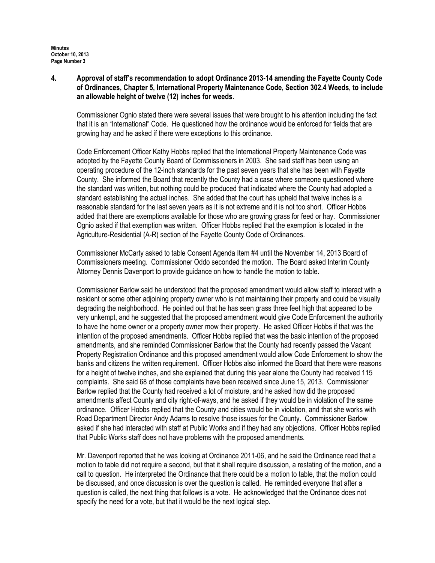4. Approval of staff's recommendation to adopt Ordinance 2013-14 amending the Fayette County Code of Ordinances, Chapter 5, International Property Maintenance Code, Section 302.4 Weeds, to include an allowable height of twelve (12) inches for weeds.

Commissioner Ognio stated there were several issues that were brought to his attention including the fact that it is an "International" Code. He questioned how the ordinance would be enforced for fields that are growing hay and he asked if there were exceptions to this ordinance.

Code Enforcement Officer Kathy Hobbs replied that the International Property Maintenance Code was adopted by the Fayette County Board of Commissioners in 2003. She said staff has been using an operating procedure of the 12-inch standards for the past seven years that she has been with Fayette County. She informed the Board that recently the County had a case where someone questioned where the standard was written, but nothing could be produced that indicated where the County had adopted a standard establishing the actual inches. She added that the court has upheld that twelve inches is a reasonable standard for the last seven years as it is not extreme and it is not too short. Officer Hobbs added that there are exemptions available for those who are growing grass for feed or hay. Commissioner Ognio asked if that exemption was written. Officer Hobbs replied that the exemption is located in the Agriculture-Residential (A-R) section of the Fayette County Code of Ordinances.

Commissioner McCarty asked to table Consent Agenda Item #4 until the November 14, 2013 Board of Commissioners meeting. Commissioner Oddo seconded the motion. The Board asked Interim County Attorney Dennis Davenport to provide guidance on how to handle the motion to table.

Commissioner Barlow said he understood that the proposed amendment would allow staff to interact with a resident or some other adjoining property owner who is not maintaining their property and could be visually degrading the neighborhood. He pointed out that he has seen grass three feet high that appeared to be very unkempt, and he suggested that the proposed amendment would give Code Enforcement the authority to have the home owner or a property owner mow their property. He asked Officer Hobbs if that was the intention of the proposed amendments. Officer Hobbs replied that was the basic intention of the proposed amendments, and she reminded Commissioner Barlow that the County had recently passed the Vacant Property Registration Ordinance and this proposed amendment would allow Code Enforcement to show the banks and citizens the written requirement. Officer Hobbs also informed the Board that there were reasons for a height of twelve inches, and she explained that during this year alone the County had received 115 complaints. She said 68 of those complaints have been received since June 15, 2013. Commissioner Barlow replied that the County had received a lot of moisture, and he asked how did the proposed amendments affect County and city right-of-ways, and he asked if they would be in violation of the same ordinance. Officer Hobbs replied that the County and cities would be in violation, and that she works with Road Department Director Andy Adams to resolve those issues for the County. Commissioner Barlow asked if she had interacted with staff at Public Works and if they had any objections. Officer Hobbs replied that Public Works staff does not have problems with the proposed amendments.

Mr. Davenport reported that he was looking at Ordinance 2011-06, and he said the Ordinance read that a motion to table did not require a second, but that it shall require discussion, a restating of the motion, and a call to question. He interpreted the Ordinance that there could be a motion to table, that the motion could be discussed, and once discussion is over the question is called. He reminded everyone that after a question is called, the next thing that follows is a vote. He acknowledged that the Ordinance does not specify the need for a vote, but that it would be the next logical step.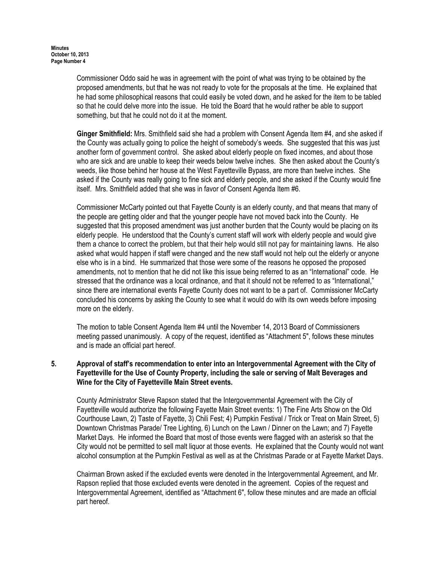Commissioner Oddo said he was in agreement with the point of what was trying to be obtained by the proposed amendments, but that he was not ready to vote for the proposals at the time. He explained that he had some philosophical reasons that could easily be voted down, and he asked for the item to be tabled so that he could delve more into the issue. He told the Board that he would rather be able to support something, but that he could not do it at the moment.

Ginger Smithfield: Mrs. Smithfield said she had a problem with Consent Agenda Item #4, and she asked if the County was actually going to police the height of somebody's weeds. She suggested that this was just another form of government control. She asked about elderly people on fixed incomes, and about those who are sick and are unable to keep their weeds below twelve inches. She then asked about the County's weeds, like those behind her house at the West Fayetteville Bypass, are more than twelve inches. She asked if the County was really going to fine sick and elderly people, and she asked if the County would fine itself. Mrs. Smithfield added that she was in favor of Consent Agenda Item #6.

Commissioner McCarty pointed out that Fayette County is an elderly county, and that means that many of the people are getting older and that the younger people have not moved back into the County. He suggested that this proposed amendment was just another burden that the County would be placing on its elderly people. He understood that the County's current staff will work with elderly people and would give them a chance to correct the problem, but that their help would still not pay for maintaining lawns. He also asked what would happen if staff were changed and the new staff would not help out the elderly or anyone else who is in a bind. He summarized that those were some of the reasons he opposed the proposed amendments, not to mention that he did not like this issue being referred to as an "International" code. He stressed that the ordinance was a local ordinance, and that it should not be referred to as "International," since there are international events Fayette County does not want to be a part of. Commissioner McCarty concluded his concerns by asking the County to see what it would do with its own weeds before imposing more on the elderly.

The motion to table Consent Agenda Item #4 until the November 14, 2013 Board of Commissioners meeting passed unanimously. A copy of the request, identified as "Attachment 5", follows these minutes and is made an official part hereof.

## 5. Approval of staff's recommendation to enter into an Intergovernmental Agreement with the City of Fayetteville for the Use of County Property, including the sale or serving of Malt Beverages and Wine for the City of Fayetteville Main Street events.

County Administrator Steve Rapson stated that the Intergovernmental Agreement with the City of Fayetteville would authorize the following Fayette Main Street events: 1) The Fine Arts Show on the Old Courthouse Lawn, 2) Taste of Fayette, 3) Chili Fest; 4) Pumpkin Festival / Trick or Treat on Main Street, 5) Downtown Christmas Parade/ Tree Lighting, 6) Lunch on the Lawn / Dinner on the Lawn; and 7) Fayette Market Days. He informed the Board that most of those events were flagged with an asterisk so that the City would not be permitted to sell malt liquor at those events. He explained that the County would not want alcohol consumption at the Pumpkin Festival as well as at the Christmas Parade or at Fayette Market Days.

Chairman Brown asked if the excluded events were denoted in the Intergovernmental Agreement, and Mr. Rapson replied that those excluded events were denoted in the agreement. Copies of the request and Intergovernmental Agreement, identified as "Attachment 6", follow these minutes and are made an official part hereof.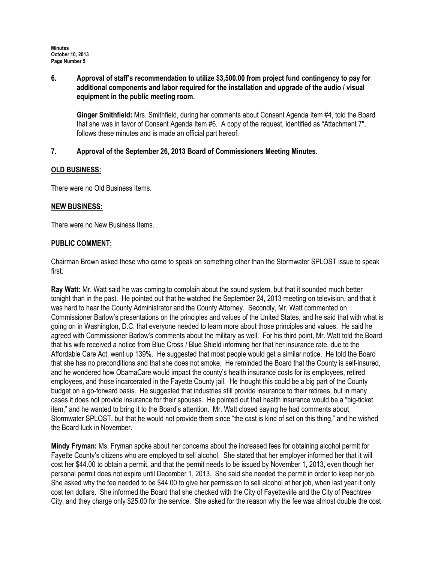6. Approval of staff's recommendation to utilize \$3,500.00 from project fund contingency to pay for additional components and labor required for the installation and upgrade of the audio / visual equipment in the public meeting room.

Ginger Smithfield: Mrs. Smithfield, during her comments about Consent Agenda Item #4, told the Board that she was in favor of Consent Agenda Item #6. A copy of the request, identified as "Attachment 7", follows these minutes and is made an official part hereof.

## 7. Approval of the September 26, 2013 Board of Commissioners Meeting Minutes.

## OLD BUSINESS:

There were no Old Business Items.

## NEW BUSINESS:

There were no New Business Items.

## PUBLIC COMMENT:

Chairman Brown asked those who came to speak on something other than the Stormwater SPLOST issue to speak first.

Ray Watt: Mr. Watt said he was coming to complain about the sound system, but that it sounded much better tonight than in the past. He pointed out that he watched the September 24, 2013 meeting on television, and that it was hard to hear the County Administrator and the County Attorney. Secondly, Mr. Watt commented on Commissioner Barlow's presentations on the principles and values of the United States, and he said that with what is going on in Washington, D.C. that everyone needed to learn more about those principles and values. He said he agreed with Commissioner Barlow's comments about the military as well. For his third point, Mr. Watt told the Board that his wife received a notice from Blue Cross / Blue Shield informing her that her insurance rate, due to the Affordable Care Act, went up 139%. He suggested that most people would get a similar notice. He told the Board that she has no preconditions and that she does not smoke. He reminded the Board that the County is self-insured, and he wondered how ObamaCare would impact the county's health insurance costs for its employees, retired employees, and those incarcerated in the Fayette County jail. He thought this could be a big part of the County budget on a go-forward basis. He suggested that industries still provide insurance to their retirees, but in many cases it does not provide insurance for their spouses. He pointed out that health insurance would be a "big-ticket item," and he wanted to bring it to the Board's attention. Mr. Watt closed saying he had comments about Stormwater SPLOST, but that he would not provide them since "the cast is kind of set on this thing," and he wished the Board luck in November.

Mindy Fryman: Ms. Fryman spoke about her concerns about the increased fees for obtaining alcohol permit for Fayette County's citizens who are employed to sell alcohol. She stated that her employer informed her that it will cost her \$44.00 to obtain a permit, and that the permit needs to be issued by November 1, 2013, even though her personal permit does not expire until December 1, 2013. She said she needed the permit in order to keep her job. She asked why the fee needed to be \$44.00 to give her permission to sell alcohol at her job, when last year it only cost ten dollars. She informed the Board that she checked with the City of Fayetteville and the City of Peachtree City, and they charge only \$25.00 for the service. She asked for the reason why the fee was almost double the cost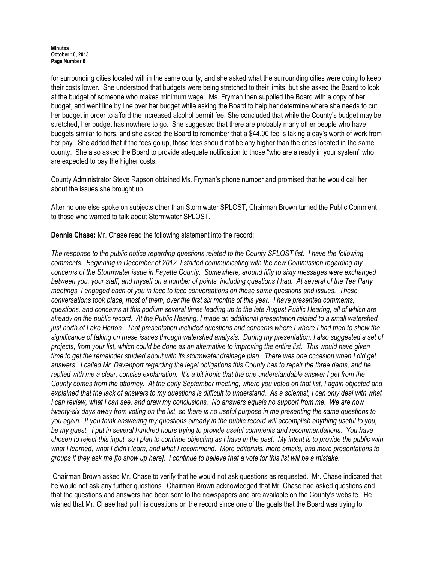for surrounding cities located within the same county, and she asked what the surrounding cities were doing to keep their costs lower. She understood that budgets were being stretched to their limits, but she asked the Board to look at the budget of someone who makes minimum wage. Ms. Fryman then supplied the Board with a copy of her budget, and went line by line over her budget while asking the Board to help her determine where she needs to cut her budget in order to afford the increased alcohol permit fee. She concluded that while the County's budget may be stretched, her budget has nowhere to go. She suggested that there are probably many other people who have budgets similar to hers, and she asked the Board to remember that a \$44.00 fee is taking a day's worth of work from her pay. She added that if the fees go up, those fees should not be any higher than the cities located in the same county. She also asked the Board to provide adequate notification to those "who are already in your system" who are expected to pay the higher costs.

County Administrator Steve Rapson obtained Ms. Fryman's phone number and promised that he would call her about the issues she brought up.

After no one else spoke on subjects other than Stormwater SPLOST, Chairman Brown turned the Public Comment to those who wanted to talk about Stormwater SPLOST.

Dennis Chase: Mr. Chase read the following statement into the record:

The response to the public notice regarding questions related to the County SPLOST list. I have the following comments. Beginning in December of 2012, I started communicating with the new Commission regarding my concerns of the Stormwater issue in Fayette County. Somewhere, around fifty to sixty messages were exchanged between you, your staff, and myself on a number of points, including questions I had. At several of the Tea Party meetings, I engaged each of you in face to face conversations on these same questions and issues. These conversations took place, most of them, over the first six months of this year. I have presented comments, questions, and concerns at this podium several times leading up to the late August Public Hearing, all of which are already on the public record. At the Public Hearing, I made an additional presentation related to a small watershed just north of Lake Horton. That presentation included questions and concerns where I where I had tried to show the significance of taking on these issues through watershed analysis. During my presentation, I also suggested a set of projects, from your list, which could be done as an alternative to improving the entire list. This would have given time to get the remainder studied about with its stormwater drainage plan. There was one occasion when I did get answers. I called Mr. Davenport regarding the legal obligations this County has to repair the three dams, and he replied with me a clear, concise explanation. It's a bit ironic that the one understandable answer I get from the County comes from the attorney. At the early September meeting, where you voted on that list, I again objected and explained that the lack of answers to my questions is difficult to understand. As a scientist, I can only deal with what I can review, what I can see, and draw my conclusions. No answers equals no support from me. We are now twenty-six days away from voting on the list, so there is no useful purpose in me presenting the same questions to you again. If you think answering my questions already in the public record will accomplish anything useful to you, be my guest. I put in several hundred hours trying to provide useful comments and recommendations. You have chosen to reject this input, so I plan to continue objecting as I have in the past. My intent is to provide the public with what I learned, what I didn't learn, and what I recommend. More editorials, more emails, and more presentations to groups if they ask me [to show up here]. I continue to believe that a vote for this list will be a mistake.

 Chairman Brown asked Mr. Chase to verify that he would not ask questions as requested. Mr. Chase indicated that he would not ask any further questions. Chairman Brown acknowledged that Mr. Chase had asked questions and that the questions and answers had been sent to the newspapers and are available on the County's website. He wished that Mr. Chase had put his questions on the record since one of the goals that the Board was trying to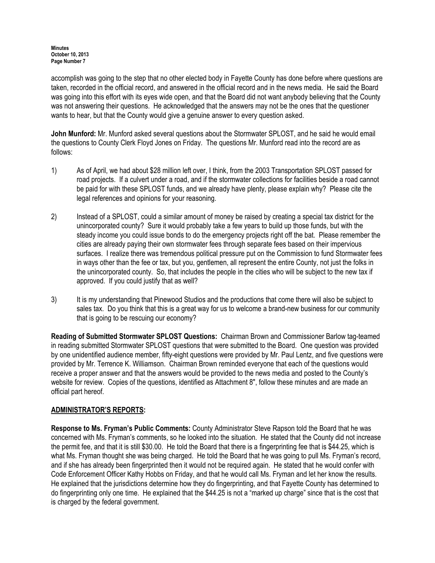accomplish was going to the step that no other elected body in Fayette County has done before where questions are taken, recorded in the official record, and answered in the official record and in the news media. He said the Board was going into this effort with its eyes wide open, and that the Board did not want anybody believing that the County was not answering their questions. He acknowledged that the answers may not be the ones that the questioner wants to hear, but that the County would give a genuine answer to every question asked.

John Munford: Mr. Munford asked several questions about the Stormwater SPLOST, and he said he would email the questions to County Clerk Floyd Jones on Friday. The questions Mr. Munford read into the record are as follows:

- 1) As of April, we had about \$28 million left over, I think, from the 2003 Transportation SPLOST passed for road projects. If a culvert under a road, and if the stormwater collections for facilities beside a road cannot be paid for with these SPLOST funds, and we already have plenty, please explain why? Please cite the legal references and opinions for your reasoning.
- 2) Instead of a SPLOST, could a similar amount of money be raised by creating a special tax district for the unincorporated county? Sure it would probably take a few years to build up those funds, but with the steady income you could issue bonds to do the emergency projects right off the bat. Please remember the cities are already paying their own stormwater fees through separate fees based on their impervious surfaces. I realize there was tremendous political pressure put on the Commission to fund Stormwater fees in ways other than the fee or tax, but you, gentlemen, all represent the entire County, not just the folks in the unincorporated county. So, that includes the people in the cities who will be subject to the new tax if approved. If you could justify that as well?
- 3) It is my understanding that Pinewood Studios and the productions that come there will also be subject to sales tax. Do you think that this is a great way for us to welcome a brand-new business for our community that is going to be rescuing our economy?

Reading of Submitted Stormwater SPLOST Questions: Chairman Brown and Commissioner Barlow tag-teamed in reading submitted Stormwater SPLOST questions that were submitted to the Board. One question was provided by one unidentified audience member, fifty-eight questions were provided by Mr. Paul Lentz, and five questions were provided by Mr. Terrence K. Williamson. Chairman Brown reminded everyone that each of the questions would receive a proper answer and that the answers would be provided to the news media and posted to the County's website for review. Copies of the questions, identified as Attachment 8", follow these minutes and are made an official part hereof.

## ADMINISTRATOR'S REPORTS:

Response to Ms. Fryman's Public Comments: County Administrator Steve Rapson told the Board that he was concerned with Ms. Fryman's comments, so he looked into the situation. He stated that the County did not increase the permit fee, and that it is still \$30.00. He told the Board that there is a fingerprinting fee that is \$44.25, which is what Ms. Fryman thought she was being charged. He told the Board that he was going to pull Ms. Fryman's record, and if she has already been fingerprinted then it would not be required again. He stated that he would confer with Code Enforcement Officer Kathy Hobbs on Friday, and that he would call Ms. Fryman and let her know the results. He explained that the jurisdictions determine how they do fingerprinting, and that Fayette County has determined to do fingerprinting only one time. He explained that the \$44.25 is not a "marked up charge" since that is the cost that is charged by the federal government.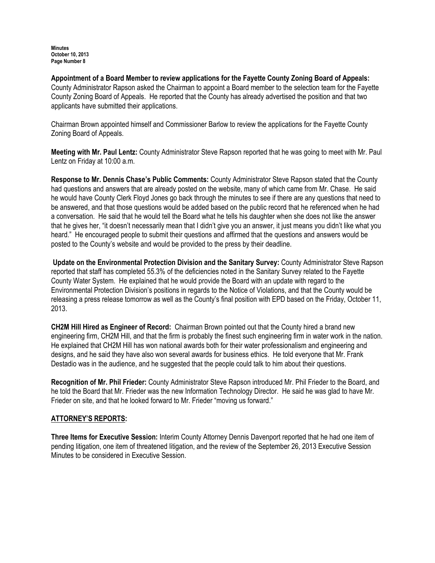Appointment of a Board Member to review applications for the Fayette County Zoning Board of Appeals: County Administrator Rapson asked the Chairman to appoint a Board member to the selection team for the Fayette County Zoning Board of Appeals. He reported that the County has already advertised the position and that two applicants have submitted their applications.

Chairman Brown appointed himself and Commissioner Barlow to review the applications for the Fayette County Zoning Board of Appeals.

Meeting with Mr. Paul Lentz: County Administrator Steve Rapson reported that he was going to meet with Mr. Paul Lentz on Friday at 10:00 a.m.

Response to Mr. Dennis Chase's Public Comments: County Administrator Steve Rapson stated that the County had questions and answers that are already posted on the website, many of which came from Mr. Chase. He said he would have County Clerk Floyd Jones go back through the minutes to see if there are any questions that need to be answered, and that those questions would be added based on the public record that he referenced when he had a conversation. He said that he would tell the Board what he tells his daughter when she does not like the answer that he gives her, "it doesn't necessarily mean that I didn't give you an answer, it just means you didn't like what you heard." He encouraged people to submit their questions and affirmed that the questions and answers would be posted to the County's website and would be provided to the press by their deadline.

Update on the Environmental Protection Division and the Sanitary Survey: County Administrator Steve Rapson reported that staff has completed 55.3% of the deficiencies noted in the Sanitary Survey related to the Fayette County Water System. He explained that he would provide the Board with an update with regard to the Environmental Protection Division's positions in regards to the Notice of Violations, and that the County would be releasing a press release tomorrow as well as the County's final position with EPD based on the Friday, October 11, 2013.

CH2M Hill Hired as Engineer of Record: Chairman Brown pointed out that the County hired a brand new engineering firm, CH2M Hill, and that the firm is probably the finest such engineering firm in water work in the nation. He explained that CH2M Hill has won national awards both for their water professionalism and engineering and designs, and he said they have also won several awards for business ethics. He told everyone that Mr. Frank Destadio was in the audience, and he suggested that the people could talk to him about their questions.

Recognition of Mr. Phil Frieder: County Administrator Steve Rapson introduced Mr. Phil Frieder to the Board, and he told the Board that Mr. Frieder was the new Information Technology Director. He said he was glad to have Mr. Frieder on site, and that he looked forward to Mr. Frieder "moving us forward."

## ATTORNEY'S REPORTS:

Three Items for Executive Session: Interim County Attorney Dennis Davenport reported that he had one item of pending litigation, one item of threatened litigation, and the review of the September 26, 2013 Executive Session Minutes to be considered in Executive Session.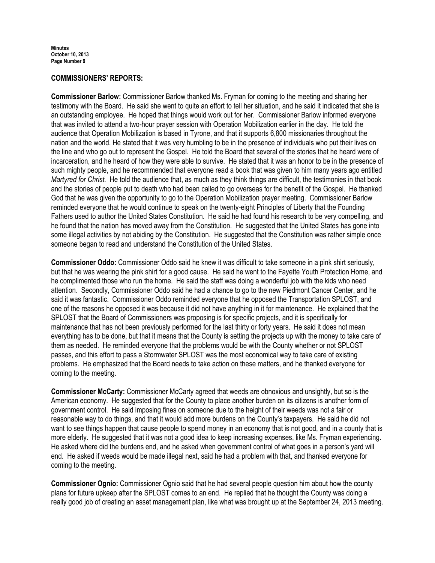#### COMMISSIONERS' REPORTS:

Commissioner Barlow: Commissioner Barlow thanked Ms. Fryman for coming to the meeting and sharing her testimony with the Board. He said she went to quite an effort to tell her situation, and he said it indicated that she is an outstanding employee. He hoped that things would work out for her. Commissioner Barlow informed everyone that was invited to attend a two-hour prayer session with Operation Mobilization earlier in the day. He told the audience that Operation Mobilization is based in Tyrone, and that it supports 6,800 missionaries throughout the nation and the world. He stated that it was very humbling to be in the presence of individuals who put their lives on the line and who go out to represent the Gospel. He told the Board that several of the stories that he heard were of incarceration, and he heard of how they were able to survive. He stated that it was an honor to be in the presence of such mighty people, and he recommended that everyone read a book that was given to him many years ago entitled Martyred for Christ. He told the audience that, as much as they think things are difficult, the testimonies in that book and the stories of people put to death who had been called to go overseas for the benefit of the Gospel. He thanked God that he was given the opportunity to go to the Operation Mobilization prayer meeting. Commissioner Barlow reminded everyone that he would continue to speak on the twenty-eight Principles of Liberty that the Founding Fathers used to author the United States Constitution. He said he had found his research to be very compelling, and he found that the nation has moved away from the Constitution. He suggested that the United States has gone into some illegal activities by not abiding by the Constitution. He suggested that the Constitution was rather simple once someone began to read and understand the Constitution of the United States.

Commissioner Oddo: Commissioner Oddo said he knew it was difficult to take someone in a pink shirt seriously, but that he was wearing the pink shirt for a good cause. He said he went to the Fayette Youth Protection Home, and he complimented those who run the home. He said the staff was doing a wonderful job with the kids who need attention. Secondly, Commissioner Oddo said he had a chance to go to the new Piedmont Cancer Center, and he said it was fantastic. Commissioner Oddo reminded everyone that he opposed the Transportation SPLOST, and one of the reasons he opposed it was because it did not have anything in it for maintenance. He explained that the SPLOST that the Board of Commissioners was proposing is for specific projects, and it is specifically for maintenance that has not been previously performed for the last thirty or forty years. He said it does not mean everything has to be done, but that it means that the County is setting the projects up with the money to take care of them as needed. He reminded everyone that the problems would be with the County whether or not SPLOST passes, and this effort to pass a Stormwater SPLOST was the most economical way to take care of existing problems. He emphasized that the Board needs to take action on these matters, and he thanked everyone for coming to the meeting.

Commissioner McCarty: Commissioner McCarty agreed that weeds are obnoxious and unsightly, but so is the American economy. He suggested that for the County to place another burden on its citizens is another form of government control. He said imposing fines on someone due to the height of their weeds was not a fair or reasonable way to do things, and that it would add more burdens on the County's taxpayers. He said he did not want to see things happen that cause people to spend money in an economy that is not good, and in a county that is more elderly. He suggested that it was not a good idea to keep increasing expenses, like Ms. Fryman experiencing. He asked where did the burdens end, and he asked when government control of what goes in a person's yard will end. He asked if weeds would be made illegal next, said he had a problem with that, and thanked everyone for coming to the meeting.

Commissioner Ognio: Commissioner Ognio said that he had several people question him about how the county plans for future upkeep after the SPLOST comes to an end. He replied that he thought the County was doing a really good job of creating an asset management plan, like what was brought up at the September 24, 2013 meeting.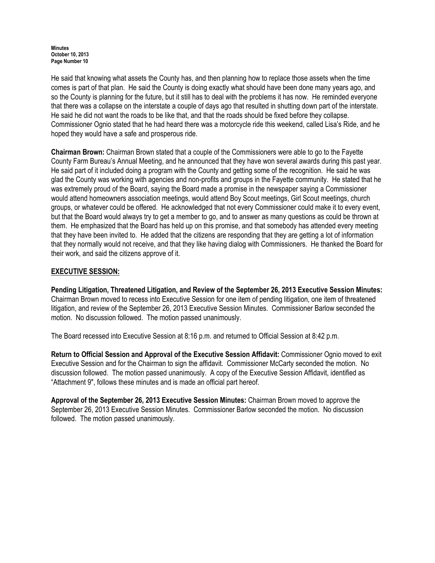He said that knowing what assets the County has, and then planning how to replace those assets when the time comes is part of that plan. He said the County is doing exactly what should have been done many years ago, and so the County is planning for the future, but it still has to deal with the problems it has now. He reminded everyone that there was a collapse on the interstate a couple of days ago that resulted in shutting down part of the interstate. He said he did not want the roads to be like that, and that the roads should be fixed before they collapse. Commissioner Ognio stated that he had heard there was a motorcycle ride this weekend, called Lisa's Ride, and he hoped they would have a safe and prosperous ride.

Chairman Brown: Chairman Brown stated that a couple of the Commissioners were able to go to the Fayette County Farm Bureau's Annual Meeting, and he announced that they have won several awards during this past year. He said part of it included doing a program with the County and getting some of the recognition. He said he was glad the County was working with agencies and non-profits and groups in the Fayette community. He stated that he was extremely proud of the Board, saying the Board made a promise in the newspaper saying a Commissioner would attend homeowners association meetings, would attend Boy Scout meetings, Girl Scout meetings, church groups, or whatever could be offered. He acknowledged that not every Commissioner could make it to every event, but that the Board would always try to get a member to go, and to answer as many questions as could be thrown at them. He emphasized that the Board has held up on this promise, and that somebody has attended every meeting that they have been invited to. He added that the citizens are responding that they are getting a lot of information that they normally would not receive, and that they like having dialog with Commissioners. He thanked the Board for their work, and said the citizens approve of it.

## EXECUTIVE SESSION:

Pending Litigation, Threatened Litigation, and Review of the September 26, 2013 Executive Session Minutes: Chairman Brown moved to recess into Executive Session for one item of pending litigation, one item of threatened litigation, and review of the September 26, 2013 Executive Session Minutes. Commissioner Barlow seconded the motion. No discussion followed. The motion passed unanimously.

The Board recessed into Executive Session at 8:16 p.m. and returned to Official Session at 8:42 p.m.

Return to Official Session and Approval of the Executive Session Affidavit: Commissioner Ognio moved to exit Executive Session and for the Chairman to sign the affidavit. Commissioner McCarty seconded the motion. No discussion followed. The motion passed unanimously. A copy of the Executive Session Affidavit, identified as "Attachment 9", follows these minutes and is made an official part hereof.

Approval of the September 26, 2013 Executive Session Minutes: Chairman Brown moved to approve the September 26, 2013 Executive Session Minutes. Commissioner Barlow seconded the motion. No discussion followed. The motion passed unanimously.